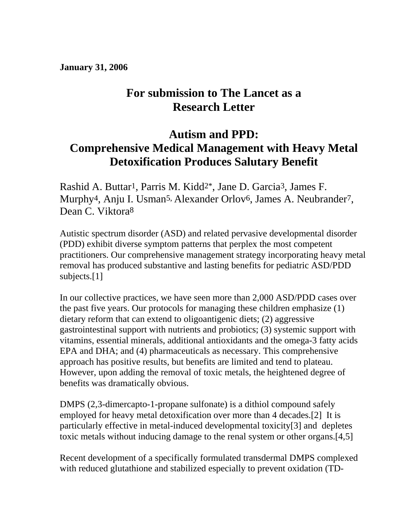**January 31, 2006** 

## **For submission to The Lancet as a Research Letter**

## **Autism and PPD: Comprehensive Medical Management with Heavy Metal Detoxification Produces Salutary Benefit**

Rashid A. Buttar1, Parris M. Kidd2\*, Jane D. Garcia3, James F. Murphy4, Anju I. Usman5, Alexander Orlov6, James A. Neubrander7, Dean C. Viktora<sup>8</sup>

Autistic spectrum disorder (ASD) and related pervasive developmental disorder (PDD) exhibit diverse symptom patterns that perplex the most competent practitioners. Our comprehensive management strategy incorporating heavy metal removal has produced substantive and lasting benefits for pediatric ASD/PDD subjects.[1]

In our collective practices, we have seen more than 2,000 ASD/PDD cases over the past five years. Our protocols for managing these children emphasize (1) dietary reform that can extend to oligoantigenic diets; (2) aggressive gastrointestinal support with nutrients and probiotics; (3) systemic support with vitamins, essential minerals, additional antioxidants and the omega-3 fatty acids EPA and DHA; and (4) pharmaceuticals as necessary. This comprehensive approach has positive results, but benefits are limited and tend to plateau. However, upon adding the removal of toxic metals, the heightened degree of benefits was dramatically obvious.

DMPS (2,3-dimercapto-1-propane sulfonate) is a dithiol compound safely employed for heavy metal detoxification over more than 4 decades.[2] It is particularly effective in metal-induced developmental toxicity[3] and depletes toxic metals without inducing damage to the renal system or other organs.[4,5]

Recent development of a specifically formulated transdermal DMPS complexed with reduced glutathione and stabilized especially to prevent oxidation (TD-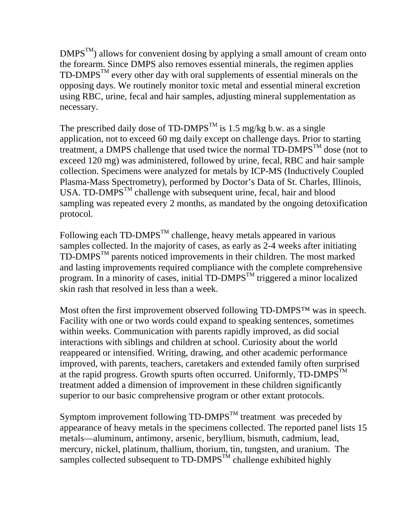$DMPS<sup>TM</sup>$ ) allows for convenient dosing by applying a small amount of cream onto the forearm. Since DMPS also removes essential minerals, the regimen applies  $TD\text{-}DMPS^{TM}$  every other day with oral supplements of essential minerals on the opposing days. We routinely monitor toxic metal and essential mineral excretion using RBC, urine, fecal and hair samples, adjusting mineral supplementation as necessary.

The prescribed daily dose of TD-DMPS<sup>TM</sup> is 1.5 mg/kg b.w. as a single application, not to exceed 60 mg daily except on challenge days. Prior to starting treatment, a DMPS challenge that used twice the normal  $TD\text{-}DMPS^{TM}$  dose (not to exceed 120 mg) was administered, followed by urine, fecal, RBC and hair sample collection. Specimens were analyzed for metals by ICP-MS (Inductively Coupled Plasma-Mass Spectrometry), performed by Doctor's Data of St. Charles, Illinois,  $USA$ . TD-DMPS<sup>TM</sup> challenge with subsequent urine, fecal, hair and blood sampling was repeated every 2 months, as mandated by the ongoing detoxification protocol.

Following each TD-DMPS<sup>TM</sup> challenge, heavy metals appeared in various samples collected. In the majority of cases, as early as 2-4 weeks after initiating  $TD$ -DMPS $^{TM}$  parents noticed improvements in their children. The most marked and lasting improvements required compliance with the complete comprehensive program. In a minority of cases, initial  $\text{TD-DMPS}^{\text{TM}}$  triggered a minor localized skin rash that resolved in less than a week.

Most often the first improvement observed following TD-DMPS™ was in speech. Facility with one or two words could expand to speaking sentences, sometimes within weeks. Communication with parents rapidly improved, as did social interactions with siblings and children at school. Curiosity about the world reappeared or intensified. Writing, drawing, and other academic performance improved, with parents, teachers, caretakers and extended family often surprised at the rapid progress. Growth spurts often occurred. Uniformly,  $TD\text{-}DMPS^{TM}$ treatment added a dimension of improvement in these children significantly superior to our basic comprehensive program or other extant protocols.

Symptom improvement following  $TD\text{-}DMPS^{TM}$  treatment was preceded by appearance of heavy metals in the specimens collected. The reported panel lists 15 metals—aluminum, antimony, arsenic, beryllium, bismuth, cadmium, lead, mercury, nickel, platinum, thallium, thorium, tin, tungsten, and uranium. The samples collected subsequent to  $TD\text{-}DMPS^{TM}$  challenge exhibited highly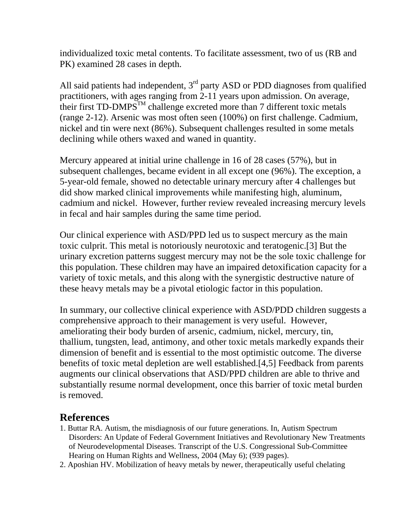individualized toxic metal contents. To facilitate assessment, two of us (RB and PK) examined 28 cases in depth.

All said patients had independent,  $3<sup>rd</sup>$  party ASD or PDD diagnoses from qualified practitioners, with ages ranging from 2-11 years upon admission. On average, their first  $TD$ - $DMPS^{TM}$  challenge excreted more than 7 different toxic metals (range 2-12). Arsenic was most often seen (100%) on first challenge. Cadmium, nickel and tin were next (86%). Subsequent challenges resulted in some metals declining while others waxed and waned in quantity.

Mercury appeared at initial urine challenge in 16 of 28 cases (57%), but in subsequent challenges, became evident in all except one (96%). The exception, a 5-year-old female, showed no detectable urinary mercury after 4 challenges but did show marked clinical improvements while manifesting high, aluminum, cadmium and nickel. However, further review revealed increasing mercury levels in fecal and hair samples during the same time period.

Our clinical experience with ASD/PPD led us to suspect mercury as the main toxic culprit. This metal is notoriously neurotoxic and teratogenic.[3] But the urinary excretion patterns suggest mercury may not be the sole toxic challenge for this population. These children may have an impaired detoxification capacity for a variety of toxic metals, and this along with the synergistic destructive nature of these heavy metals may be a pivotal etiologic factor in this population.

In summary, our collective clinical experience with ASD/PDD children suggests a comprehensive approach to their management is very useful. However, ameliorating their body burden of arsenic, cadmium, nickel, mercury, tin, thallium, tungsten, lead, antimony, and other toxic metals markedly expands their dimension of benefit and is essential to the most optimistic outcome. The diverse benefits of toxic metal depletion are well established.[4,5] Feedback from parents augments our clinical observations that ASD/PPD children are able to thrive and substantially resume normal development, once this barrier of toxic metal burden is removed.

## **References**

- 1. Buttar RA. Autism, the misdiagnosis of our future generations. In, Autism Spectrum Disorders: An Update of Federal Government Initiatives and Revolutionary New Treatments of Neurodevelopmental Diseases. Transcript of the U.S. Congressional Sub-Committee Hearing on Human Rights and Wellness, 2004 (May 6); (939 pages).
- 2. Aposhian HV. Mobilization of heavy metals by newer, therapeutically useful chelating